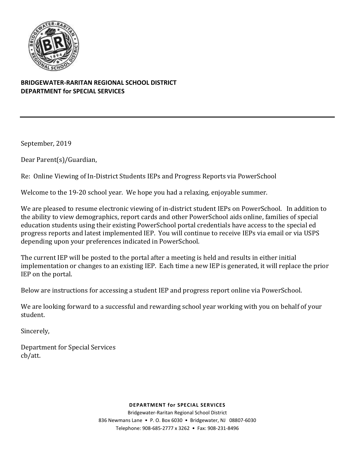

## **BRIDGEWATER-RARITAN REGIONAL SCHOOL DISTRICT DEPARTMENT for SPECIAL SERVICES**

September, 2019

Dear Parent(s)/Guardian,

Re: Online Viewing of In-District Students IEPs and Progress Reports via PowerSchool

Welcome to the 19-20 school year. We hope you had a relaxing, enjoyable summer.

We are pleased to resume electronic viewing of in-district student IEPs on PowerSchool. In addition to the ability to view demographics, report cards and other PowerSchool aids online, families of special education students using their existing PowerSchool portal credentials have access to the special ed progress reports and latest implemented IEP. You will continue to receive IEPs via email or via USPS depending upon your preferences indicated in PowerSchool.

The current IEP will be posted to the portal after a meeting is held and results in either initial implementation or changes to an existing IEP. Each time a new IEP is generated, it will replace the prior IEP on the portal.

Below are instructions for accessing a student IEP and progress report online via PowerSchool.

We are looking forward to a successful and rewarding school year working with you on behalf of your student.

Sincerely,

Department for Special Services cb/att.

#### **DEPARTMENT for SPECIAL SERVICES**

Bridgewater-Raritan Regional School District 836 Newmans Lane • P. O. Box 6030 • Bridgewater, NJ 08807-6030 Telephone: 908-685-2777 x 3262 • Fax: 908-231-8496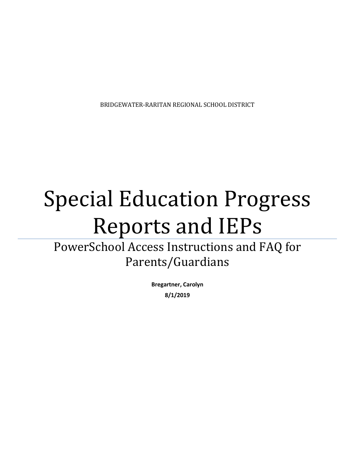BRIDGEWATER-RARITAN REGIONAL SCHOOL DISTRICT

# Special Education Progress Reports and IEPs

PowerSchool Access Instructions and FAQ for Parents/Guardians

> **Bregartner, Carolyn 8/1/2019**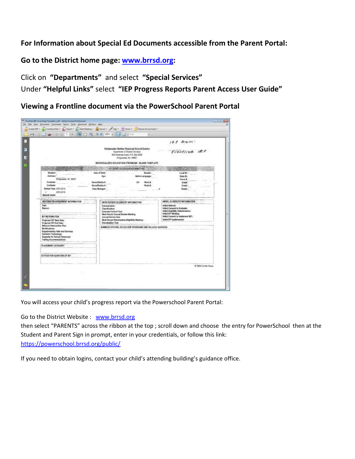# **For Information about Special Ed Documents accessible from the Parent Portal:**

**Go to the District home page: [www.brrsd.org:](http://www.brrsd.org/)**

Click on **"Departments"** and select **"Special Services"**

Under **"Helpful Links"** select **"IEP Progress Reports Parent Access User Guide"**

**Viewing a Frontline document via the PowerSchool Parent Portal**

|                                                                                                                                                                                         |                                                                                                                                        |                                                                                                                                             | Armm.                                                                                                                                               |  |
|-----------------------------------------------------------------------------------------------------------------------------------------------------------------------------------------|----------------------------------------------------------------------------------------------------------------------------------------|---------------------------------------------------------------------------------------------------------------------------------------------|-----------------------------------------------------------------------------------------------------------------------------------------------------|--|
|                                                                                                                                                                                         |                                                                                                                                        | Bridgewater-Roritan Regional School District<br>Contentment of Student Services<br>036 Noveman Lives, P.O. Bax 8000<br>Incipaudor, NJ 50807 | Frontline IEP                                                                                                                                       |  |
|                                                                                                                                                                                         |                                                                                                                                        | INOWELLALENED EDUCATION PROGRAM - BLANK TEMPLATE                                                                                            |                                                                                                                                                     |  |
|                                                                                                                                                                                         |                                                                                                                                        | STOREMT GALAXIES IN FORMSTICK                                                                                                               |                                                                                                                                                     |  |
| <b>Mashell</b><br>Address:<br><b>Brogonese NJ IBBIT</b><br>Contacts:<br>Contacte:<br>School Year: 3014-2015<br>$-44.7$<br>3245-2019<br><b>Special Alarta:</b>                           | Date of Sirk:<br>Age<br>HomeiffickEs #:<br>Home/Mubile #: 1<br>Case Manager:                                                           | Gender.<br><b>Mative Canguage</b><br>Wark #<br>Work &                                                                                       | Local EX<br><b>Bate Co.</b><br>House &<br><b>Crash</b><br>Erek:<br><b>Giadel</b>                                                                    |  |
| $-1.8 - 0.00$<br>MEETING OR AGREEMENT INFORMATION                                                                                                                                       | GOAT RECENT ELIMIN ITY INFORMATION                                                                                                     |                                                                                                                                             | INTIAL ELEMENTY INFORMATION                                                                                                                         |  |
| <b>Date:</b><br><b>Resource:</b><br><b>EF REGIMATION</b>                                                                                                                                | Determination:<br>Classification:<br><b>Extended Bohool Year:</b><br><b>Rost Record Annual Review Weeting:</b><br>Annual Rentery Date: |                                                                                                                                             | Initial Referral:<br>Initial Consent to Evaluate:<br>Initial Gligibility Determination:<br>initial (CP Meeting)<br>Initial Consent to Implement RP1 |  |
| Projected IEP Steet Date:<br>Projected EP End Gase: -                                                                                                                                   | Republished Desc.                                                                                                                      | Nost Recent Reevelestion Eligibility Meeting:                                                                                               | Initial IDP Implemented:                                                                                                                            |  |
| <b>Behavior Intervention Plant</b><br>Modifications:<br>Supplementary Aids and Services:<br>Austative Technology:<br><b>Supports for Salvial Paraceired:</b><br>Tostleg Accommodations: |                                                                                                                                        | SUMMAN SPECIAL EDUCATION PROGRAMS AND RELATED BEIWICES                                                                                      |                                                                                                                                                     |  |
| PLACEMENT CATEGORY                                                                                                                                                                      |                                                                                                                                        |                                                                                                                                             |                                                                                                                                                     |  |
| STATUS FOR DURATION OF IEF                                                                                                                                                              |                                                                                                                                        |                                                                                                                                             |                                                                                                                                                     |  |
|                                                                                                                                                                                         |                                                                                                                                        |                                                                                                                                             | @ 2909 Corple Second                                                                                                                                |  |

You will access your child's progress report via the Powerschool Parent Portal:

Go to the District Website : [www.brrsd.org](http://www.brrsd.org/)

then select "PARENTS" across the ribbon at the top ; scroll down and choose the entry for PowerSchool then at the Student and Parent Sign in prompt, enter in your credentials, or follow this link: <https://powerschool.brrsd.org/public/>

If you need to obtain logins, contact your child's attending building's guidance office.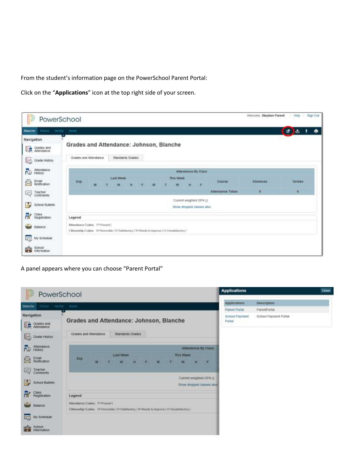From the student's information page on the PowerSchool Parent Portal:

Click on the "**Applications**" icon at the top right side of your screen.

| $ 2\rangle$<br>PowerSchool                                                               |                                                                                                                                  | Weicome, Stephen Parent | <b>FRID</b>    | Sign Out |
|------------------------------------------------------------------------------------------|----------------------------------------------------------------------------------------------------------------------------------|-------------------------|----------------|----------|
| Ennoy Hecke Kirsh<br><b>Blanche</b>                                                      |                                                                                                                                  |                         | $a$ $b$ $1$    | ٠        |
| Navigation<br>Grades and<br>Altendance<br>醇                                              | Grades and Attendance: Johnson, Blanche<br><b>Standards Grades</b><br>Grades and Atlendance.                                     |                         |                |          |
| 铴<br>Grade History<br>Attendance<br>సె<br>Email<br>Notification<br>R                     | Attendance By Class<br>This Week<br><b>Last Week</b><br>Exp<br>Course                                                            | Atisances               | <b>Tarties</b> |          |
| Teacher<br>Comments<br>lę.<br>壽<br>School Bulletin                                       | м<br>н<br><b>Attendance Totals</b><br>Current weighted CIPA ():<br>Show dropped classes also                                     | o                       | ۰              |          |
| Ħ.<br>Ciass<br>Registration<br>s<br>Balance<br>硒<br>My Schedule<br>School<br>Information | Legend<br>Attendance Codes: P-Present1<br>Citizenship Codes: H=Honundde   S=Satisfactory   N=Needs to improve   U=Unsatisfactory |                         |                |          |

A panel appears where you can choose "Parent Portal"

|                               | PowerSchool                                                                                                            | <b>Applications</b>      |                       | <b>Close</b> |
|-------------------------------|------------------------------------------------------------------------------------------------------------------------|--------------------------|-----------------------|--------------|
| Enrico<br><b>Blanche</b>      | Hectar: Havin                                                                                                          | Applications             | <b>Description</b>    |              |
| Navigation                    |                                                                                                                        | Parent Portal            | ParentPortar          |              |
| Grades and<br>Attendance<br>曘 | Grades and Attendance: Johnson, Blanche                                                                                | School Payment<br>Portal | School Payment Portal |              |
| 睑<br>Grade History            | Grades and Attendance<br>Standards Grades                                                                              |                          |                       |              |
| Attendance<br>PO.             | Attendance By Class                                                                                                    |                          |                       |              |
| Email<br>Notification<br>g    | <b>Last Week</b><br><b>This Week</b><br><b>Exp</b><br>н<br>м<br>W<br>н<br>w<br>M                                       |                          |                       |              |
| Teacher<br>Comments<br>國      |                                                                                                                        |                          |                       |              |
| ₩<br>School Bulletin          | Current weighted GPA ()<br>Show dropped classes asia                                                                   |                          |                       |              |
| Class<br>Registration         | Legend                                                                                                                 |                          |                       |              |
| Balance<br>ا کتا              | Attendance Codes: PriPresent  <br>Chizenship Codes: H=Honotable   S=Safefactory   N=Needs to improve   U=Unsafefactory |                          |                       |              |
| ಷಾ<br>My Schedule             |                                                                                                                        |                          |                       |              |
| School<br>Information         |                                                                                                                        |                          |                       |              |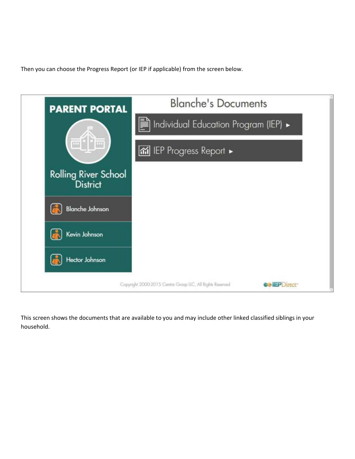Then you can choose the Progress Report (or IEP if applicable) from the screen below.



This screen shows the documents that are available to you and may include other linked classified siblings in your household.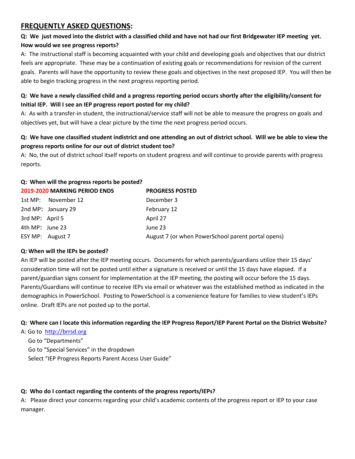# **FREQUENTLY ASKED QUESTIONS:**

# **Q: We just moved into the district with a classified child and have not had our first Bridgewater IEP meeting yet. How would we see progress reports?**

A: The instructional staff is becoming acquainted with your child and developing goals and objectives that our district feels are appropriate. These may be a continuation of existing goals or recommendations for revision of the current goals. Parents will have the opportunity to review these goals and objectives in the next proposed IEP. You will then be able to begin tracking progress in the next progress reporting period.

## **Q: We have a newly classified child and a progress reporting period occurs shortly after the eligibility/consent for Initial IEP. Will I see an IEP progress report posted for my child?**

A: As with a transfer-in student, the instructional/service staff will not be able to measure the progress on goals and objectives yet, but will have a clear picture by the time the next progress period occurs.

## **Q: We have one classified student indistrict and one attending an out of district school. Will we be able to view the progress reports online for our out of district student too?**

A: No, the out of district school itself reports on student progress and will continue to provide parents with progress reports.

#### **Q: When will the progress reports be posted?**

|                 | <b>2019-2020 MARKING PERIOD ENDS</b> | <b>PROGRESS POSTED</b>                             |
|-----------------|--------------------------------------|----------------------------------------------------|
|                 | 1st MP: November 12                  | December 3                                         |
|                 | 2nd MP: January 29                   | February 12                                        |
| 3rd MP: April 5 |                                      | April 27                                           |
| 4th MP: June 23 |                                      | June 23                                            |
|                 | ESY MP: August 7                     | August 7 (or when PowerSchool parent portal opens) |

#### **Q: When will the IEPs be posted?**

An IEP will be posted after the IEP meeting occurs. Documents for which parents/guardians utilize their 15 days' consideration time will not be posted until either a signature is received or until the 15 days have elapsed. If a parent/guardian signs consent for implementation at the IEP meeting, the posting will occur before the 15 days. Parents/Guardians will continue to receive IEPs via email or whatever was the established method as indicated in the demographics in PowerSchool. Posting to PowerSchool is a convenience feature for families to view student's IEPs online. Draft IEPs are not posted up to the portal.

#### **Q: Where can I locate this information regarding the IEP Progress Report/IEP Parent Portal on the District Website?**

A: Go to [http://brrsd.org](http://brrsd.org/) 

 Go to "Departments" Go to "Special Services" in the dropdown Select "IEP Progress Reports Parent Access User Guide"

#### **Q: Who do I contact regarding the contents of the progress reports/IEPs?**

A: Please direct your concerns regarding your child's academic contents of the progress report or IEP to your case manager.